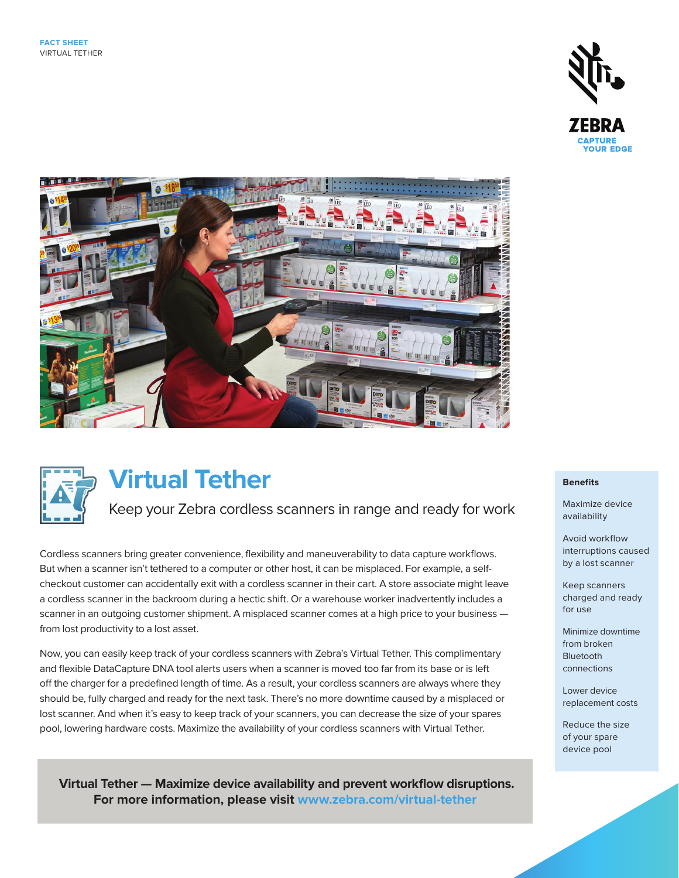





# **Virtual Tether**

Keep your Zebra cordless scanners in range and ready for work

Cordless scanners bring greater convenience, flexibility and maneuverability to data capture workflows. But when a scanner isn't tethered to a computer or other host, it can be misplaced. For example, a selfcheckout customer can accidentally exit with a cordless scanner in their cart. A store associate might leave a cordless scanner in the backroom during a hectic shift. Or a warehouse worker inadvertently includes a scanner in an outgoing customer shipment. A misplaced scanner comes at a high price to your business from lost productivity to a lost asset.

Now, you can easily keep track of your cordless scanners with Zebra's Virtual Tether. This complimentary and flexible DataCapture DNA tool alerts users when a scanner is moved too far from its base or is left off the charger for a predefined length of time. As a result, your cordless scanners are always where they should be, fully charged and ready for the next task. There's no more downtime caused by a misplaced or lost scanner. And when it's easy to keep track of your scanners, you can decrease the size of your spares pool, lowering hardware costs. Maximize the availability of your cordless scanners with Virtual Tether.

 **Virtual Tether — Maximize device availability and prevent workflow disruptions. For more information, please visit [www.zebra.com/virtual-tether](http://www.zebra.com/virtual-tether)**

# **Benefits**

Maximize device availability

Avoid workflow interruptions caused by a lost scanner

Keep scanners charged and ready for use

Minimize downtime from broken Bluetooth connections

Lower device replacement costs

Reduce the size of your spare device pool